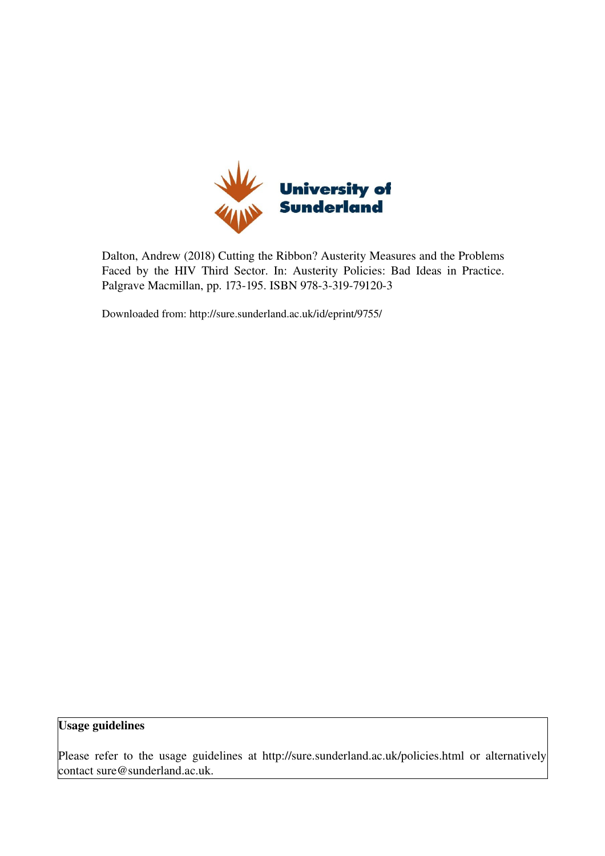

Dalton, Andrew (2018) Cutting the Ribbon? Austerity Measures and the Problems Faced by the HIV Third Sector. In: Austerity Policies: Bad Ideas in Practice. Palgrave Macmillan, pp. 173-195. ISBN 978-3-319-79120-3

Downloaded from: http://sure.sunderland.ac.uk/id/eprint/9755/

Usage guidelines

Please refer to the usage guidelines at http://sure.sunderland.ac.uk/policies.html or alternatively contact sure@sunderland.ac.uk.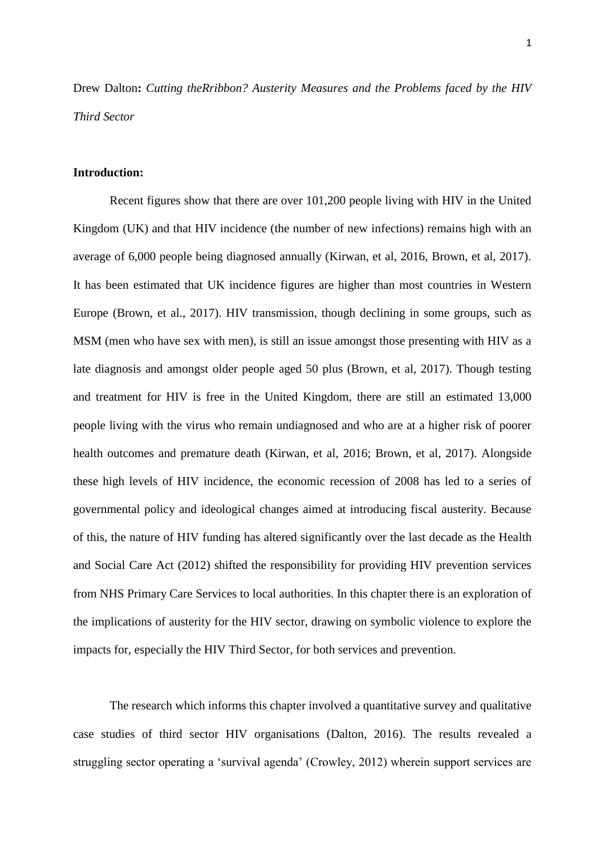Drew Dalton**:** *Cutting theRribbon? Austerity Measures and the Problems faced by the HIV Third Sector*

## **Introduction:**

Recent figures show that there are over 101,200 people living with HIV in the United Kingdom (UK) and that HIV incidence (the number of new infections) remains high with an average of 6,000 people being diagnosed annually (Kirwan, et al, 2016, Brown, et al, 2017). It has been estimated that UK incidence figures are higher than most countries in Western Europe (Brown, et al., 2017). HIV transmission, though declining in some groups, such as MSM (men who have sex with men), is still an issue amongst those presenting with HIV as a late diagnosis and amongst older people aged 50 plus (Brown, et al, 2017). Though testing and treatment for HIV is free in the United Kingdom, there are still an estimated 13,000 people living with the virus who remain undiagnosed and who are at a higher risk of poorer health outcomes and premature death (Kirwan, et al, 2016; Brown, et al, 2017). Alongside these high levels of HIV incidence, the economic recession of 2008 has led to a series of governmental policy and ideological changes aimed at introducing fiscal austerity. Because of this, the nature of HIV funding has altered significantly over the last decade as the Health and Social Care Act (2012) shifted the responsibility for providing HIV prevention services from NHS Primary Care Services to local authorities. In this chapter there is an exploration of the implications of austerity for the HIV sector, drawing on symbolic violence to explore the impacts for, especially the HIV Third Sector, for both services and prevention.

The research which informs this chapter involved a quantitative survey and qualitative case studies of third sector HIV organisations (Dalton, 2016). The results revealed a struggling sector operating a 'survival agenda' (Crowley, 2012) wherein support services are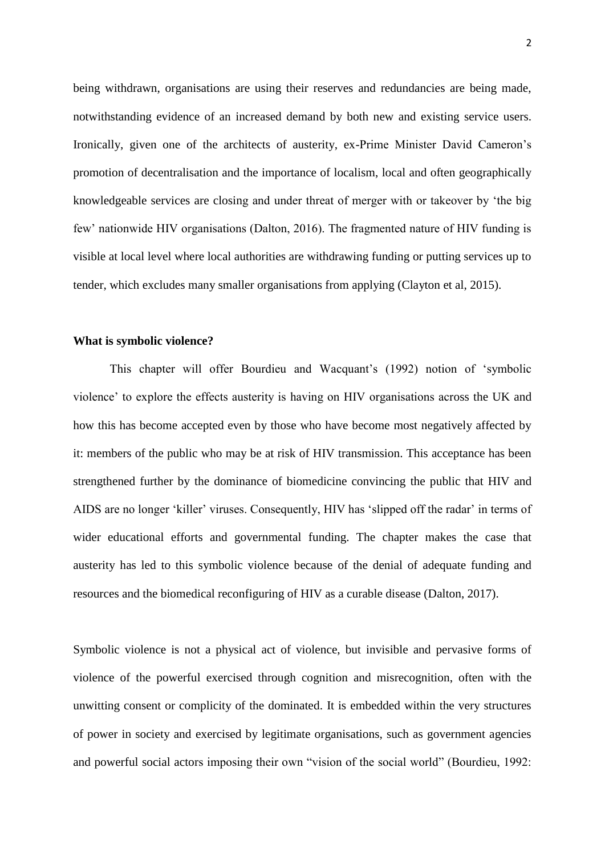being withdrawn, organisations are using their reserves and redundancies are being made, notwithstanding evidence of an increased demand by both new and existing service users. Ironically, given one of the architects of austerity, ex-Prime Minister David Cameron's promotion of decentralisation and the importance of localism, local and often geographically knowledgeable services are closing and under threat of merger with or takeover by 'the big few' nationwide HIV organisations (Dalton, 2016). The fragmented nature of HIV funding is visible at local level where local authorities are withdrawing funding or putting services up to tender, which excludes many smaller organisations from applying (Clayton et al, 2015).

#### **What is symbolic violence?**

This chapter will offer Bourdieu and Wacquant's (1992) notion of 'symbolic violence' to explore the effects austerity is having on HIV organisations across the UK and how this has become accepted even by those who have become most negatively affected by it: members of the public who may be at risk of HIV transmission. This acceptance has been strengthened further by the dominance of biomedicine convincing the public that HIV and AIDS are no longer 'killer' viruses. Consequently, HIV has 'slipped off the radar' in terms of wider educational efforts and governmental funding. The chapter makes the case that austerity has led to this symbolic violence because of the denial of adequate funding and resources and the biomedical reconfiguring of HIV as a curable disease (Dalton, 2017).

Symbolic violence is not a physical act of violence, but invisible and pervasive forms of violence of the powerful exercised through cognition and misrecognition, often with the unwitting consent or complicity of the dominated. It is embedded within the very structures of power in society and exercised by legitimate organisations, such as government agencies and powerful social actors imposing their own "vision of the social world" (Bourdieu, 1992: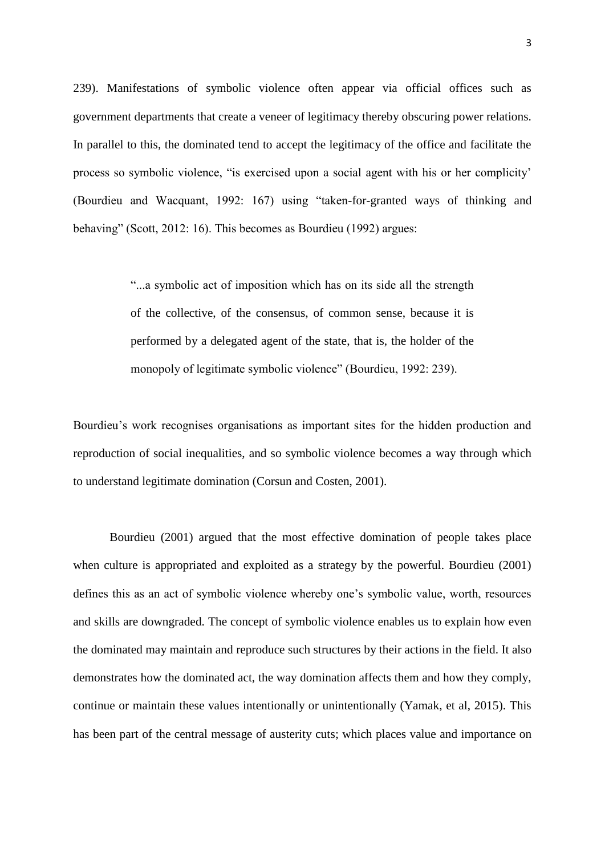239). Manifestations of symbolic violence often appear via official offices such as government departments that create a veneer of legitimacy thereby obscuring power relations. In parallel to this, the dominated tend to accept the legitimacy of the office and facilitate the process so symbolic violence, "is exercised upon a social agent with his or her complicity' (Bourdieu and Wacquant, 1992: 167) using "taken-for-granted ways of thinking and behaving" (Scott, 2012: 16). This becomes as Bourdieu (1992) argues:

> "...a symbolic act of imposition which has on its side all the strength of the collective, of the consensus, of common sense, because it is performed by a delegated agent of the state, that is, the holder of the monopoly of legitimate symbolic violence" (Bourdieu, 1992: 239).

Bourdieu's work recognises organisations as important sites for the hidden production and reproduction of social inequalities, and so symbolic violence becomes a way through which to understand legitimate domination (Corsun and Costen, 2001).

Bourdieu (2001) argued that the most effective domination of people takes place when culture is appropriated and exploited as a strategy by the powerful. Bourdieu (2001) defines this as an act of symbolic violence whereby one's symbolic value, worth, resources and skills are downgraded. The concept of symbolic violence enables us to explain how even the dominated may maintain and reproduce such structures by their actions in the field. It also demonstrates how the dominated act, the way domination affects them and how they comply, continue or maintain these values intentionally or unintentionally (Yamak, et al, 2015). This has been part of the central message of austerity cuts; which places value and importance on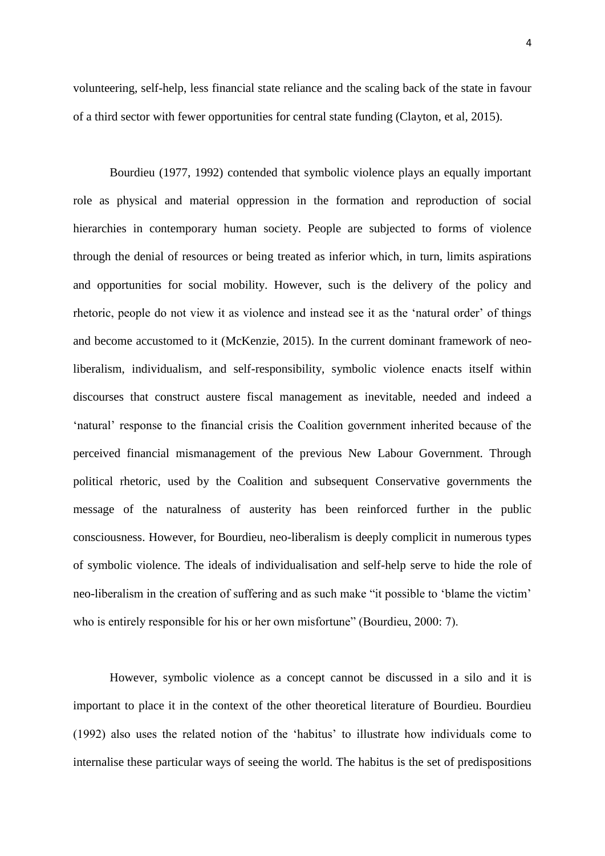volunteering, self-help, less financial state reliance and the scaling back of the state in favour of a third sector with fewer opportunities for central state funding (Clayton, et al, 2015).

Bourdieu (1977, 1992) contended that symbolic violence plays an equally important role as physical and material oppression in the formation and reproduction of social hierarchies in contemporary human society. People are subjected to forms of violence through the denial of resources or being treated as inferior which, in turn, limits aspirations and opportunities for social mobility. However, such is the delivery of the policy and rhetoric, people do not view it as violence and instead see it as the 'natural order' of things and become accustomed to it (McKenzie, 2015). In the current dominant framework of neoliberalism, individualism, and self-responsibility, symbolic violence enacts itself within discourses that construct austere fiscal management as inevitable, needed and indeed a 'natural' response to the financial crisis the Coalition government inherited because of the perceived financial mismanagement of the previous New Labour Government. Through political rhetoric, used by the Coalition and subsequent Conservative governments the message of the naturalness of austerity has been reinforced further in the public consciousness. However, for Bourdieu, neo-liberalism is deeply complicit in numerous types of symbolic violence. The ideals of individualisation and self-help serve to hide the role of neo-liberalism in the creation of suffering and as such make "it possible to 'blame the victim' who is entirely responsible for his or her own misfortune" (Bourdieu, 2000: 7).

However, symbolic violence as a concept cannot be discussed in a silo and it is important to place it in the context of the other theoretical literature of Bourdieu. Bourdieu (1992) also uses the related notion of the 'habitus' to illustrate how individuals come to internalise these particular ways of seeing the world. The habitus is the set of predispositions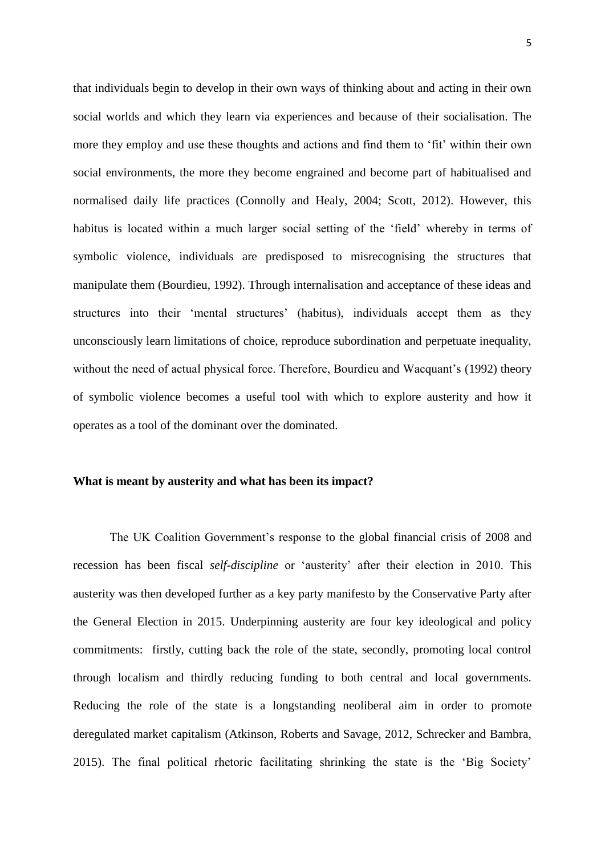that individuals begin to develop in their own ways of thinking about and acting in their own social worlds and which they learn via experiences and because of their socialisation. The more they employ and use these thoughts and actions and find them to 'fit' within their own social environments, the more they become engrained and become part of habitualised and normalised daily life practices (Connolly and Healy, 2004; Scott, 2012). However, this habitus is located within a much larger social setting of the 'field' whereby in terms of symbolic violence, individuals are predisposed to misrecognising the structures that manipulate them (Bourdieu, 1992). Through internalisation and acceptance of these ideas and structures into their 'mental structures' (habitus), individuals accept them as they unconsciously learn limitations of choice, reproduce subordination and perpetuate inequality, without the need of actual physical force. Therefore, Bourdieu and Wacquant's (1992) theory of symbolic violence becomes a useful tool with which to explore austerity and how it operates as a tool of the dominant over the dominated.

### **What is meant by austerity and what has been its impact?**

The UK Coalition Government's response to the global financial crisis of 2008 and recession has been fiscal *self-discipline* or 'austerity' after their election in 2010. This austerity was then developed further as a key party manifesto by the Conservative Party after the General Election in 2015. Underpinning austerity are four key ideological and policy commitments: firstly, cutting back the role of the state, secondly, promoting local control through localism and thirdly reducing funding to both central and local governments. Reducing the role of the state is a longstanding neoliberal aim in order to promote deregulated market capitalism (Atkinson, Roberts and Savage, 2012, Schrecker and Bambra, 2015). The final political rhetoric facilitating shrinking the state is the 'Big Society'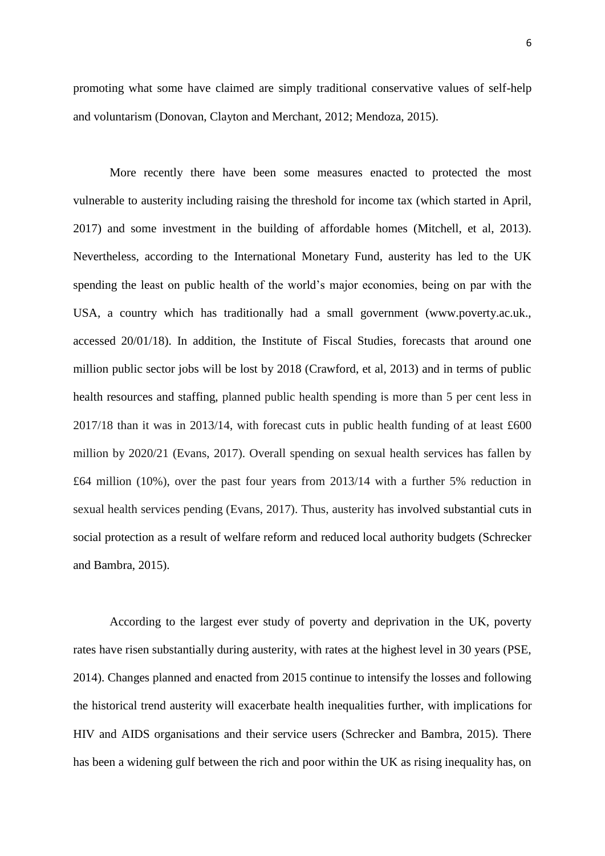promoting what some have claimed are simply traditional conservative values of self-help and voluntarism (Donovan, Clayton and Merchant, 2012; Mendoza, 2015).

More recently there have been some measures enacted to protected the most vulnerable to austerity including raising the threshold for income tax (which started in April, 2017) and some investment in the building of affordable homes (Mitchell, et al, 2013). Nevertheless, according to the International Monetary Fund, austerity has led to the UK spending the least on public health of the world's major economies, being on par with the USA, a country which has traditionally had a small government (www.poverty.ac.uk., accessed 20/01/18). In addition, the Institute of Fiscal Studies, forecasts that around one million public sector jobs will be lost by 2018 (Crawford, et al, 2013) and in terms of public health resources and staffing, planned public health spending is more than 5 per cent less in 2017/18 than it was in 2013/14, with forecast cuts in public health funding of at least £600 million by 2020/21 (Evans, 2017). Overall spending on sexual health services has fallen by £64 million (10%), over the past four years from 2013/14 with a further 5% reduction in sexual health services pending (Evans, 2017). Thus, austerity has involved substantial cuts in social protection as a result of welfare reform and reduced local authority budgets (Schrecker and Bambra, 2015).

According to the largest ever study of poverty and deprivation in the UK, poverty rates have risen substantially during austerity, with rates at the highest level in 30 years (PSE, 2014). Changes planned and enacted from 2015 continue to intensify the losses and following the historical trend austerity will exacerbate health inequalities further, with implications for HIV and AIDS organisations and their service users (Schrecker and Bambra, 2015). There has been a widening gulf between the rich and poor within the UK as rising inequality has, on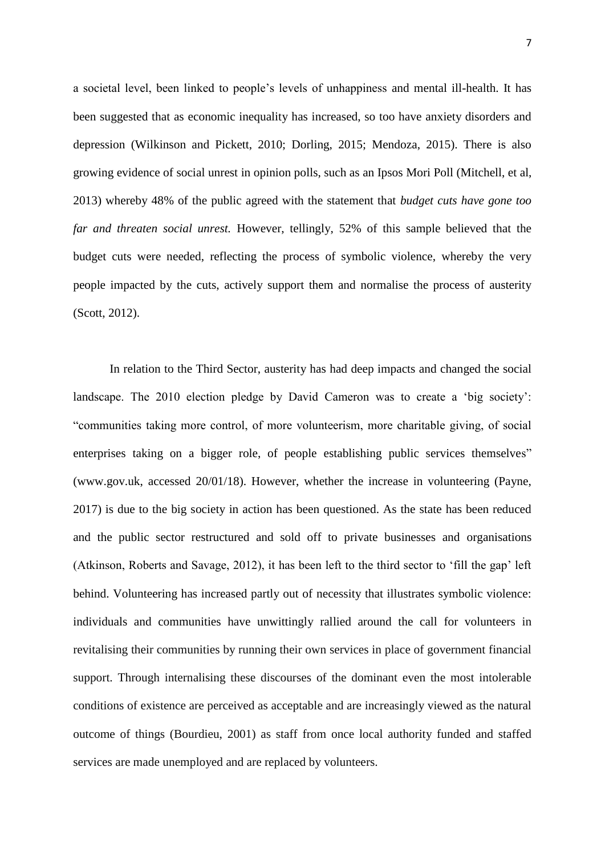a societal level, been linked to people's levels of unhappiness and mental ill-health. It has been suggested that as economic inequality has increased, so too have anxiety disorders and depression (Wilkinson and Pickett, 2010; Dorling, 2015; Mendoza, 2015). There is also growing evidence of social unrest in opinion polls, such as an Ipsos Mori Poll (Mitchell, et al, 2013) whereby 48% of the public agreed with the statement that *budget cuts have gone too far and threaten social unrest.* However, tellingly, 52% of this sample believed that the budget cuts were needed, reflecting the process of symbolic violence, whereby the very people impacted by the cuts, actively support them and normalise the process of austerity (Scott, 2012).

In relation to the Third Sector, austerity has had deep impacts and changed the social landscape. The 2010 election pledge by David Cameron was to create a 'big society': "communities taking more control, of more volunteerism, more charitable giving, of social enterprises taking on a bigger role, of people establishing public services themselves" (www.gov.uk, accessed 20/01/18). However, whether the increase in volunteering (Payne, 2017) is due to the big society in action has been questioned. As the state has been reduced and the public sector restructured and sold off to private businesses and organisations (Atkinson, Roberts and Savage, 2012), it has been left to the third sector to 'fill the gap' left behind. Volunteering has increased partly out of necessity that illustrates symbolic violence: individuals and communities have unwittingly rallied around the call for volunteers in revitalising their communities by running their own services in place of government financial support. Through internalising these discourses of the dominant even the most intolerable conditions of existence are perceived as acceptable and are increasingly viewed as the natural outcome of things (Bourdieu, 2001) as staff from once local authority funded and staffed services are made unemployed and are replaced by volunteers.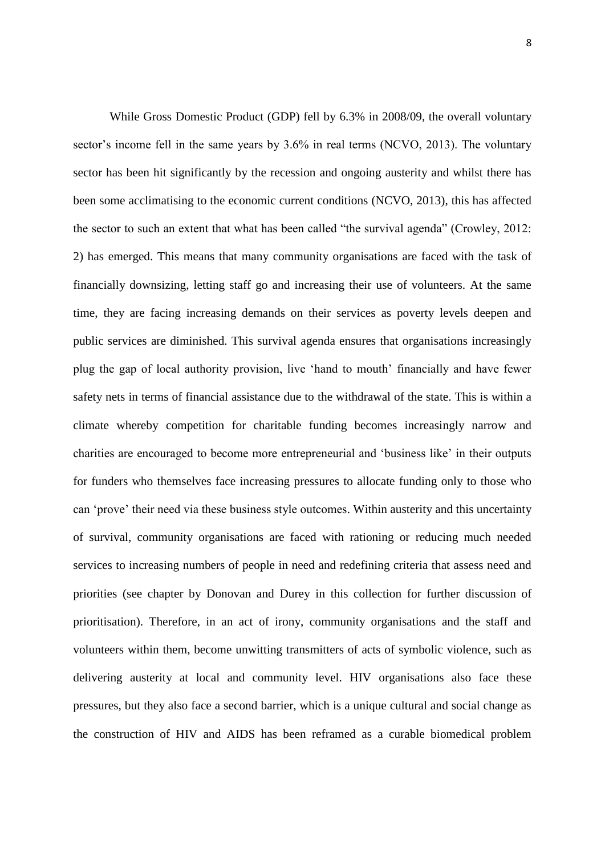While Gross Domestic Product (GDP) fell by 6.3% in 2008/09, the overall voluntary sector's income fell in the same years by  $3.6\%$  in real terms (NCVO, 2013). The voluntary sector has been hit significantly by the recession and ongoing austerity and whilst there has been some acclimatising to the economic current conditions (NCVO, 2013), this has affected the sector to such an extent that what has been called "the survival agenda" (Crowley, 2012: 2) has emerged. This means that many community organisations are faced with the task of financially downsizing, letting staff go and increasing their use of volunteers. At the same time, they are facing increasing demands on their services as poverty levels deepen and public services are diminished. This survival agenda ensures that organisations increasingly plug the gap of local authority provision, live 'hand to mouth' financially and have fewer safety nets in terms of financial assistance due to the withdrawal of the state. This is within a climate whereby competition for charitable funding becomes increasingly narrow and charities are encouraged to become more entrepreneurial and 'business like' in their outputs for funders who themselves face increasing pressures to allocate funding only to those who can 'prove' their need via these business style outcomes. Within austerity and this uncertainty of survival, community organisations are faced with rationing or reducing much needed services to increasing numbers of people in need and redefining criteria that assess need and priorities (see chapter by Donovan and Durey in this collection for further discussion of prioritisation). Therefore, in an act of irony, community organisations and the staff and volunteers within them, become unwitting transmitters of acts of symbolic violence, such as delivering austerity at local and community level. HIV organisations also face these pressures, but they also face a second barrier, which is a unique cultural and social change as the construction of HIV and AIDS has been reframed as a curable biomedical problem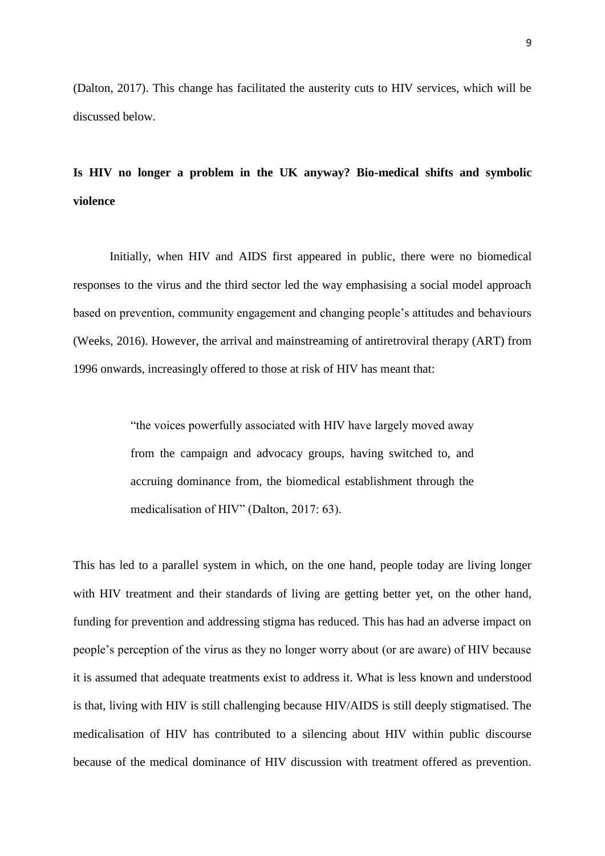(Dalton, 2017). This change has facilitated the austerity cuts to HIV services, which will be discussed below.

# **Is HIV no longer a problem in the UK anyway? Bio-medical shifts and symbolic violence**

Initially, when HIV and AIDS first appeared in public, there were no biomedical responses to the virus and the third sector led the way emphasising a social model approach based on prevention, community engagement and changing people's attitudes and behaviours (Weeks, 2016). However, the arrival and mainstreaming of antiretroviral therapy (ART) from 1996 onwards, increasingly offered to those at risk of HIV has meant that:

> "the voices powerfully associated with HIV have largely moved away from the campaign and advocacy groups, having switched to, and accruing dominance from, the biomedical establishment through the medicalisation of HIV" (Dalton, 2017: 63).

This has led to a parallel system in which, on the one hand, people today are living longer with HIV treatment and their standards of living are getting better yet, on the other hand, funding for prevention and addressing stigma has reduced. This has had an adverse impact on people's perception of the virus as they no longer worry about (or are aware) of HIV because it is assumed that adequate treatments exist to address it. What is less known and understood is that, living with HIV is still challenging because HIV/AIDS is still deeply stigmatised. The medicalisation of HIV has contributed to a silencing about HIV within public discourse because of the medical dominance of HIV discussion with treatment offered as prevention.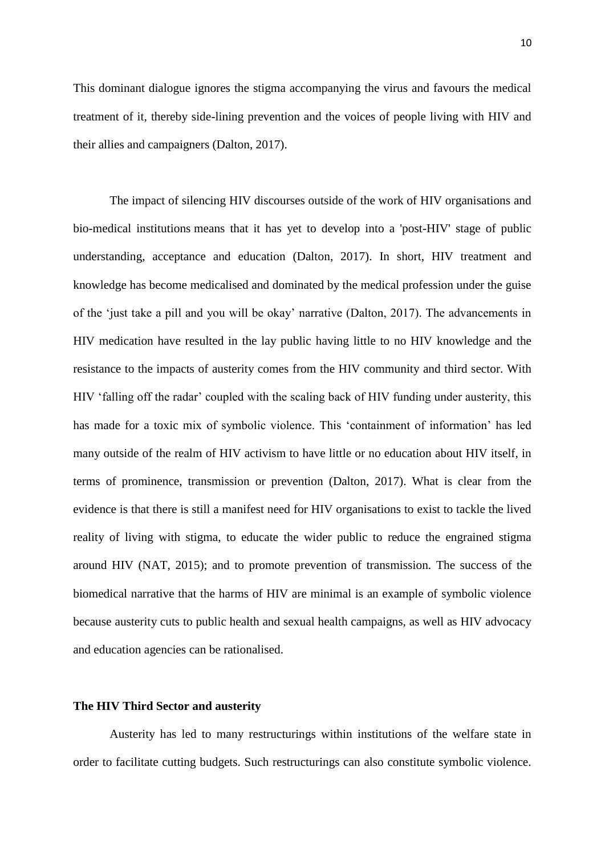This dominant dialogue ignores the stigma accompanying the virus and favours the medical treatment of it, thereby side-lining prevention and the voices of people living with HIV and their allies and campaigners (Dalton, 2017).

The impact of silencing HIV discourses outside of the work of HIV organisations and bio-medical institutions means that it has yet to develop into a 'post-HIV' stage of public understanding, acceptance and education (Dalton, 2017). In short, HIV treatment and knowledge has become medicalised and dominated by the medical profession under the guise of the 'just take a pill and you will be okay' narrative (Dalton, 2017). The advancements in HIV medication have resulted in the lay public having little to no HIV knowledge and the resistance to the impacts of austerity comes from the HIV community and third sector. With HIV 'falling off the radar' coupled with the scaling back of HIV funding under austerity, this has made for a toxic mix of symbolic violence. This 'containment of information' has led many outside of the realm of HIV activism to have little or no education about HIV itself, in terms of prominence, transmission or prevention (Dalton, 2017). What is clear from the evidence is that there is still a manifest need for HIV organisations to exist to tackle the lived reality of living with stigma, to educate the wider public to reduce the engrained stigma around HIV (NAT, 2015); and to promote prevention of transmission. The success of the biomedical narrative that the harms of HIV are minimal is an example of symbolic violence because austerity cuts to public health and sexual health campaigns, as well as HIV advocacy and education agencies can be rationalised.

## **The HIV Third Sector and austerity**

Austerity has led to many restructurings within institutions of the welfare state in order to facilitate cutting budgets. Such restructurings can also constitute symbolic violence.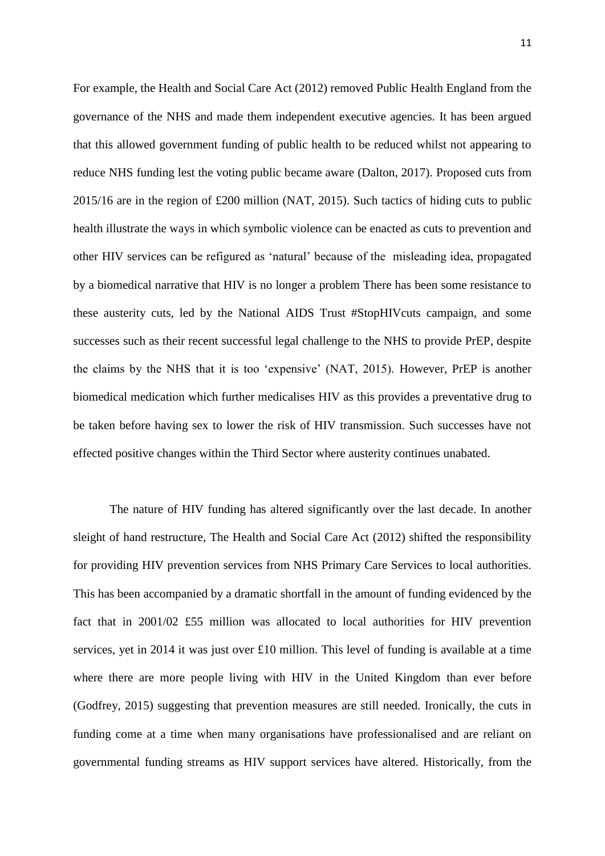For example, the Health and Social Care Act (2012) removed Public Health England from the governance of the NHS and made them independent executive agencies. It has been argued that this allowed government funding of public health to be reduced whilst not appearing to reduce NHS funding lest the voting public became aware (Dalton, 2017). Proposed cuts from 2015/16 are in the region of £200 million (NAT, 2015). Such tactics of hiding cuts to public health illustrate the ways in which symbolic violence can be enacted as cuts to prevention and other HIV services can be refigured as 'natural' because of the misleading idea, propagated by a biomedical narrative that HIV is no longer a problem There has been some resistance to these austerity cuts, led by the National AIDS Trust #StopHIVcuts campaign, and some successes such as their recent successful legal challenge to the NHS to provide PrEP, despite the claims by the NHS that it is too 'expensive' (NAT, 2015). However, PrEP is another biomedical medication which further medicalises HIV as this provides a preventative drug to be taken before having sex to lower the risk of HIV transmission. Such successes have not effected positive changes within the Third Sector where austerity continues unabated.

The nature of HIV funding has altered significantly over the last decade. In another sleight of hand restructure, The Health and Social Care Act (2012) shifted the responsibility for providing HIV prevention services from NHS Primary Care Services to local authorities. This has been accompanied by a dramatic shortfall in the amount of funding evidenced by the fact that in 2001/02 £55 million was allocated to local authorities for HIV prevention services, yet in 2014 it was just over £10 million. This level of funding is available at a time where there are more people living with HIV in the United Kingdom than ever before (Godfrey, 2015) suggesting that prevention measures are still needed. Ironically, the cuts in funding come at a time when many organisations have professionalised and are reliant on governmental funding streams as HIV support services have altered. Historically, from the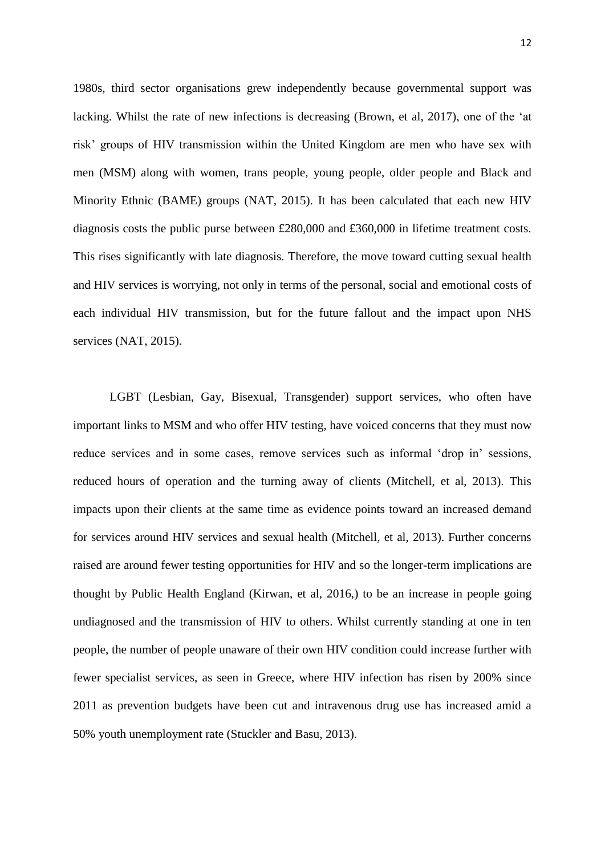1980s, third sector organisations grew independently because governmental support was lacking. Whilst the rate of new infections is decreasing (Brown, et al, 2017), one of the 'at risk' groups of HIV transmission within the United Kingdom are men who have sex with men (MSM) along with women, trans people, young people, older people and Black and Minority Ethnic (BAME) groups (NAT, 2015). It has been calculated that each new HIV diagnosis costs the public purse between £280,000 and £360,000 in lifetime treatment costs. This rises significantly with late diagnosis. Therefore, the move toward cutting sexual health and HIV services is worrying, not only in terms of the personal, social and emotional costs of each individual HIV transmission, but for the future fallout and the impact upon NHS services (NAT, 2015).

LGBT (Lesbian, Gay, Bisexual, Transgender) support services, who often have important links to MSM and who offer HIV testing, have voiced concerns that they must now reduce services and in some cases, remove services such as informal 'drop in' sessions, reduced hours of operation and the turning away of clients (Mitchell, et al, 2013). This impacts upon their clients at the same time as evidence points toward an increased demand for services around HIV services and sexual health (Mitchell, et al, 2013). Further concerns raised are around fewer testing opportunities for HIV and so the longer-term implications are thought by Public Health England (Kirwan, et al, 2016,) to be an increase in people going undiagnosed and the transmission of HIV to others. Whilst currently standing at one in ten people, the number of people unaware of their own HIV condition could increase further with fewer specialist services, as seen in Greece, where HIV infection has risen by 200% since 2011 as prevention budgets have been cut and intravenous drug use has increased amid a 50% youth unemployment rate (Stuckler and Basu, 2013).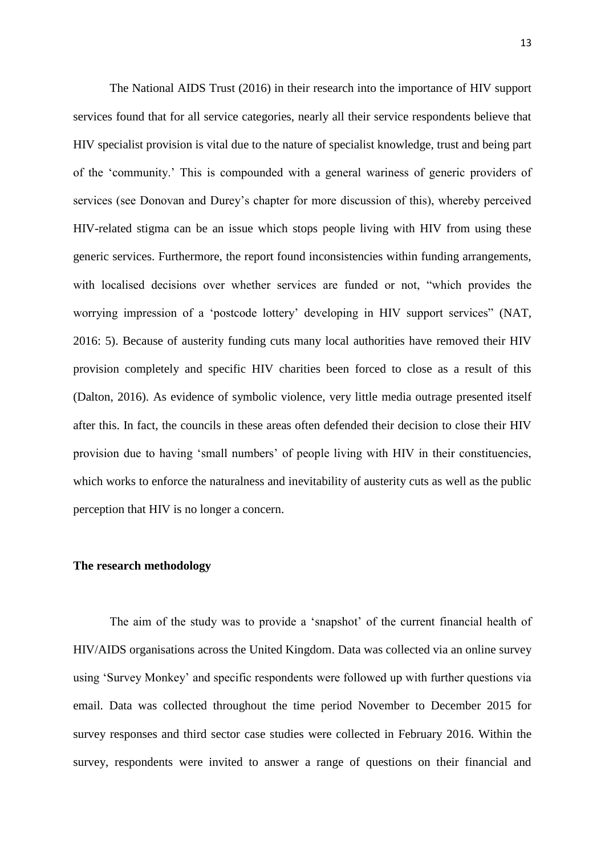The National AIDS Trust (2016) in their research into the importance of HIV support services found that for all service categories, nearly all their service respondents believe that HIV specialist provision is vital due to the nature of specialist knowledge, trust and being part of the 'community.' This is compounded with a general wariness of generic providers of services (see Donovan and Durey's chapter for more discussion of this), whereby perceived HIV-related stigma can be an issue which stops people living with HIV from using these generic services. Furthermore, the report found inconsistencies within funding arrangements, with localised decisions over whether services are funded or not, "which provides the worrying impression of a 'postcode lottery' developing in HIV support services" (NAT, 2016: 5). Because of austerity funding cuts many local authorities have removed their HIV provision completely and specific HIV charities been forced to close as a result of this (Dalton, 2016). As evidence of symbolic violence, very little media outrage presented itself after this. In fact, the councils in these areas often defended their decision to close their HIV provision due to having 'small numbers' of people living with HIV in their constituencies, which works to enforce the naturalness and inevitability of austerity cuts as well as the public perception that HIV is no longer a concern.

## **The research methodology**

The aim of the study was to provide a 'snapshot' of the current financial health of HIV/AIDS organisations across the United Kingdom. Data was collected via an online survey using 'Survey Monkey' and specific respondents were followed up with further questions via email. Data was collected throughout the time period November to December 2015 for survey responses and third sector case studies were collected in February 2016. Within the survey, respondents were invited to answer a range of questions on their financial and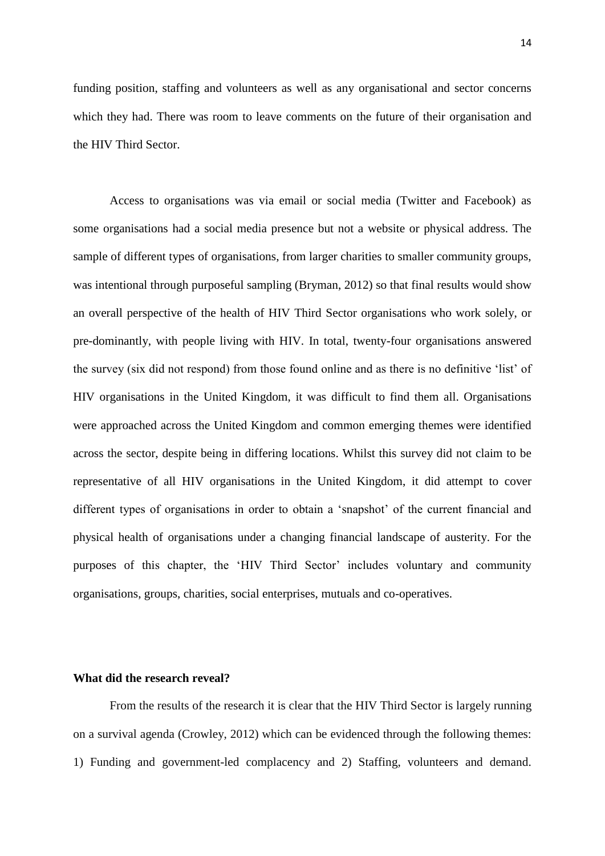funding position, staffing and volunteers as well as any organisational and sector concerns which they had. There was room to leave comments on the future of their organisation and the HIV Third Sector.

Access to organisations was via email or social media (Twitter and Facebook) as some organisations had a social media presence but not a website or physical address. The sample of different types of organisations, from larger charities to smaller community groups, was intentional through purposeful sampling (Bryman, 2012) so that final results would show an overall perspective of the health of HIV Third Sector organisations who work solely, or pre-dominantly, with people living with HIV. In total, twenty-four organisations answered the survey (six did not respond) from those found online and as there is no definitive 'list' of HIV organisations in the United Kingdom, it was difficult to find them all. Organisations were approached across the United Kingdom and common emerging themes were identified across the sector, despite being in differing locations. Whilst this survey did not claim to be representative of all HIV organisations in the United Kingdom, it did attempt to cover different types of organisations in order to obtain a 'snapshot' of the current financial and physical health of organisations under a changing financial landscape of austerity. For the purposes of this chapter, the 'HIV Third Sector' includes voluntary and community organisations, groups, charities, social enterprises, mutuals and co-operatives.

## **What did the research reveal?**

From the results of the research it is clear that the HIV Third Sector is largely running on a survival agenda (Crowley, 2012) which can be evidenced through the following themes: 1) Funding and government-led complacency and 2) Staffing, volunteers and demand.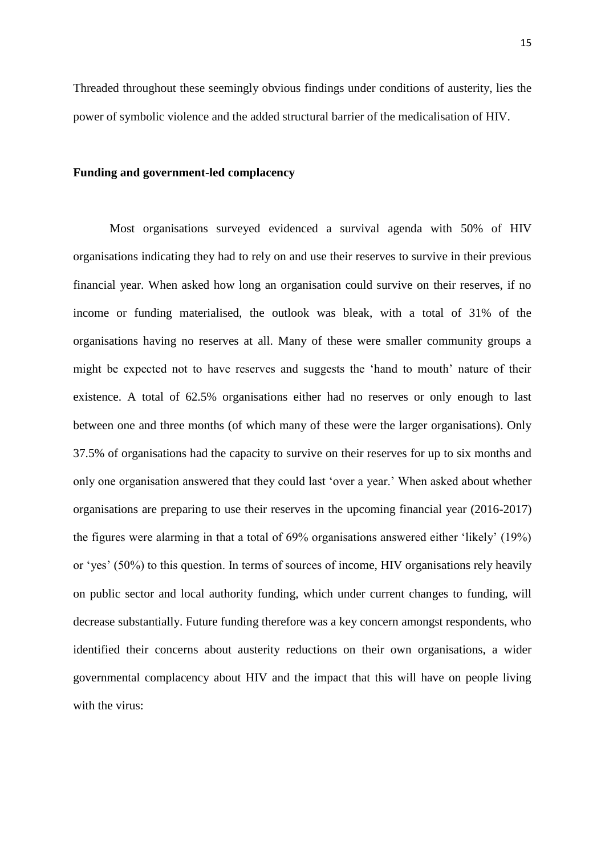Threaded throughout these seemingly obvious findings under conditions of austerity, lies the power of symbolic violence and the added structural barrier of the medicalisation of HIV.

### **Funding and government-led complacency**

Most organisations surveyed evidenced a survival agenda with 50% of HIV organisations indicating they had to rely on and use their reserves to survive in their previous financial year. When asked how long an organisation could survive on their reserves, if no income or funding materialised, the outlook was bleak, with a total of 31% of the organisations having no reserves at all. Many of these were smaller community groups a might be expected not to have reserves and suggests the 'hand to mouth' nature of their existence. A total of 62.5% organisations either had no reserves or only enough to last between one and three months (of which many of these were the larger organisations). Only 37.5% of organisations had the capacity to survive on their reserves for up to six months and only one organisation answered that they could last 'over a year.' When asked about whether organisations are preparing to use their reserves in the upcoming financial year (2016-2017) the figures were alarming in that a total of 69% organisations answered either 'likely' (19%) or 'yes' (50%) to this question. In terms of sources of income, HIV organisations rely heavily on public sector and local authority funding, which under current changes to funding, will decrease substantially. Future funding therefore was a key concern amongst respondents, who identified their concerns about austerity reductions on their own organisations, a wider governmental complacency about HIV and the impact that this will have on people living with the virus: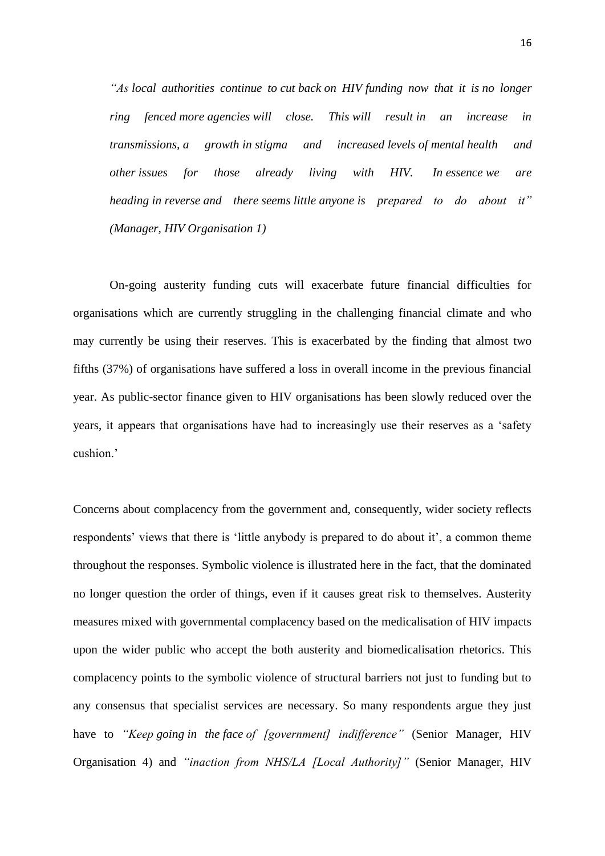*"As local authorities continue to cut back on HIV funding now that it is no longer ring fenced more agencies will close. This will result in an increase in transmissions, a growth in stigma and increased levels of mental health and other issues for those already living with HIV. In essence we are heading in reverse and there seems little anyone is prepared to do about it" (Manager, HIV Organisation 1)*

On-going austerity funding cuts will exacerbate future financial difficulties for organisations which are currently struggling in the challenging financial climate and who may currently be using their reserves. This is exacerbated by the finding that almost two fifths (37%) of organisations have suffered a loss in overall income in the previous financial year. As public-sector finance given to HIV organisations has been slowly reduced over the years, it appears that organisations have had to increasingly use their reserves as a 'safety cushion.'

Concerns about complacency from the government and, consequently, wider society reflects respondents' views that there is 'little anybody is prepared to do about it', a common theme throughout the responses. Symbolic violence is illustrated here in the fact, that the dominated no longer question the order of things, even if it causes great risk to themselves. Austerity measures mixed with governmental complacency based on the medicalisation of HIV impacts upon the wider public who accept the both austerity and biomedicalisation rhetorics. This complacency points to the symbolic violence of structural barriers not just to funding but to any consensus that specialist services are necessary. So many respondents argue they just have to *"Keep going in the face of [government] indifference"* (Senior Manager, HIV Organisation 4) and *"inaction from NHS/LA [Local Authority]"* (Senior Manager, HIV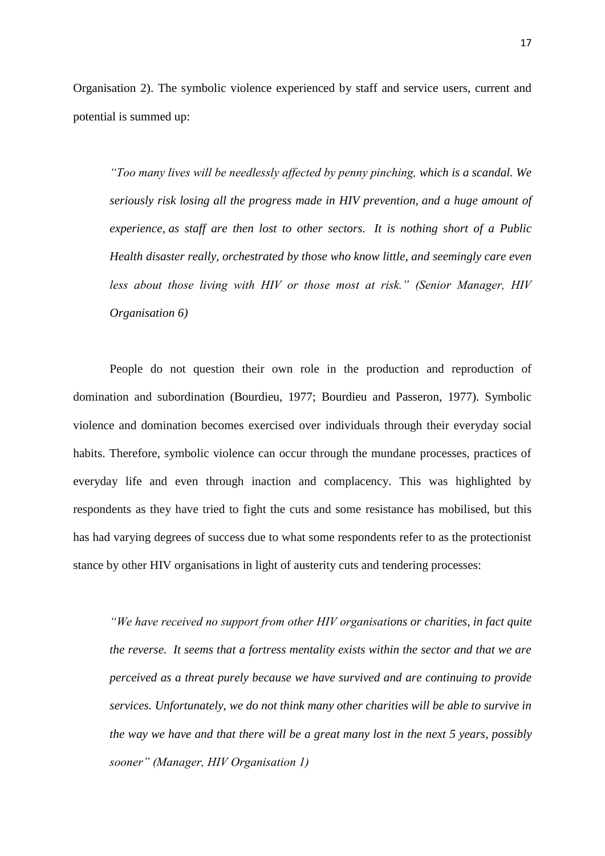Organisation 2). The symbolic violence experienced by staff and service users, current and potential is summed up:

*"Too many lives will be needlessly affected by penny pinching, which is a scandal. We seriously risk losing all the progress made in HIV prevention, and a huge amount of experience, as staff are then lost to other sectors. It is nothing short of a Public Health disaster really, orchestrated by those who know little, and seemingly care even less about those living with HIV or those most at risk." (Senior Manager, HIV Organisation 6)*

People do not question their own role in the production and reproduction of domination and subordination (Bourdieu, 1977; Bourdieu and Passeron, 1977). Symbolic violence and domination becomes exercised over individuals through their everyday social habits. Therefore, symbolic violence can occur through the mundane processes, practices of everyday life and even through inaction and complacency. This was highlighted by respondents as they have tried to fight the cuts and some resistance has mobilised, but this has had varying degrees of success due to what some respondents refer to as the protectionist stance by other HIV organisations in light of austerity cuts and tendering processes:

*"We have received no support from other HIV organisations or charities, in fact quite the reverse. It seems that a fortress mentality exists within the sector and that we are perceived as a threat purely because we have survived and are continuing to provide services. Unfortunately, we do not think many other charities will be able to survive in the way we have and that there will be a great many lost in the next 5 years, possibly sooner" (Manager, HIV Organisation 1)*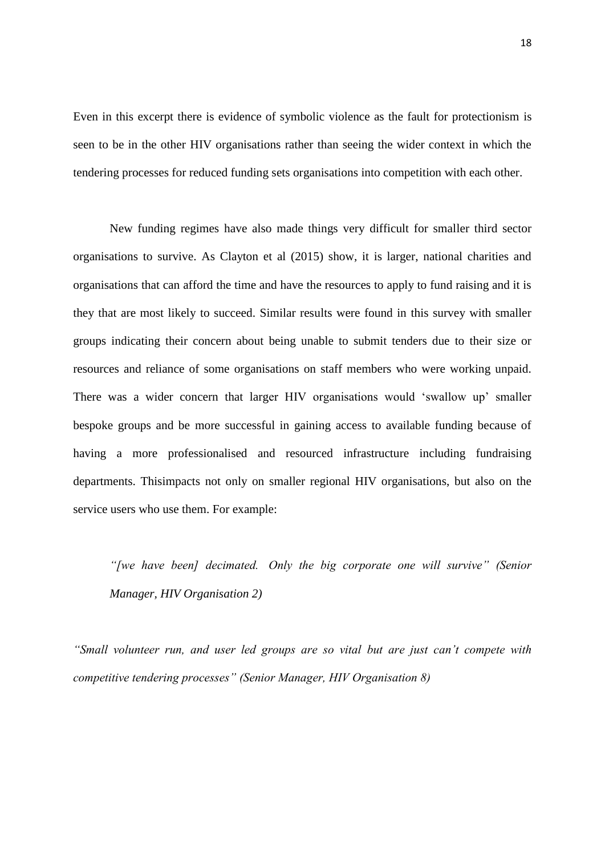Even in this excerpt there is evidence of symbolic violence as the fault for protectionism is seen to be in the other HIV organisations rather than seeing the wider context in which the tendering processes for reduced funding sets organisations into competition with each other.

New funding regimes have also made things very difficult for smaller third sector organisations to survive. As Clayton et al (2015) show, it is larger, national charities and organisations that can afford the time and have the resources to apply to fund raising and it is they that are most likely to succeed. Similar results were found in this survey with smaller groups indicating their concern about being unable to submit tenders due to their size or resources and reliance of some organisations on staff members who were working unpaid. There was a wider concern that larger HIV organisations would 'swallow up' smaller bespoke groups and be more successful in gaining access to available funding because of having a more professionalised and resourced infrastructure including fundraising departments. Thisimpacts not only on smaller regional HIV organisations, but also on the service users who use them. For example:

*"[we have been] decimated. Only the big corporate one will survive" (Senior Manager, HIV Organisation 2)*

*"Small volunteer run, and user led groups are so vital but are just can't compete with competitive tendering processes" (Senior Manager, HIV Organisation 8)*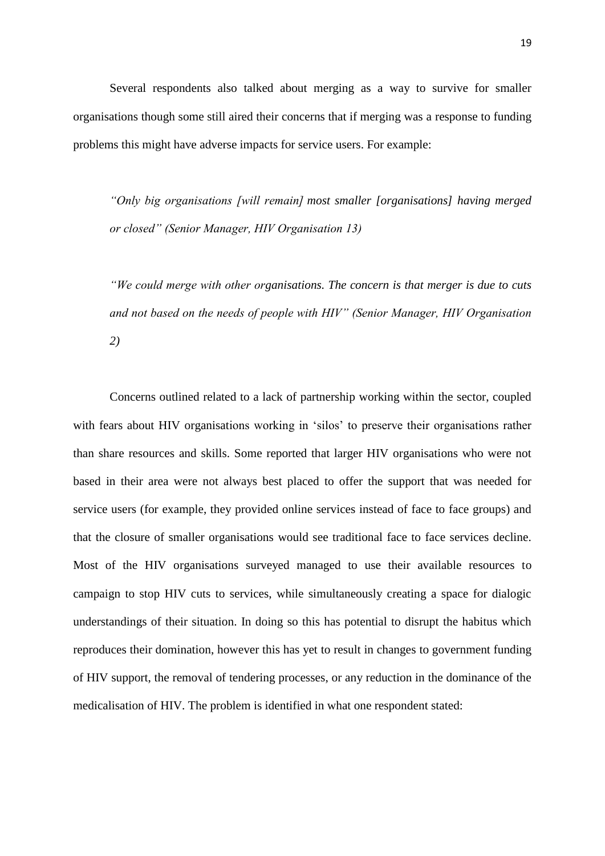Several respondents also talked about merging as a way to survive for smaller organisations though some still aired their concerns that if merging was a response to funding problems this might have adverse impacts for service users. For example:

*"Only big organisations [will remain] most smaller [organisations] having merged or closed" (Senior Manager, HIV Organisation 13)*

*"We could merge with other organisations. The concern is that merger is due to cuts and not based on the needs of people with HIV" (Senior Manager, HIV Organisation 2)*

Concerns outlined related to a lack of partnership working within the sector, coupled with fears about HIV organisations working in 'silos' to preserve their organisations rather than share resources and skills. Some reported that larger HIV organisations who were not based in their area were not always best placed to offer the support that was needed for service users (for example, they provided online services instead of face to face groups) and that the closure of smaller organisations would see traditional face to face services decline. Most of the HIV organisations surveyed managed to use their available resources to campaign to stop HIV cuts to services, while simultaneously creating a space for dialogic understandings of their situation. In doing so this has potential to disrupt the habitus which reproduces their domination, however this has yet to result in changes to government funding of HIV support, the removal of tendering processes, or any reduction in the dominance of the medicalisation of HIV. The problem is identified in what one respondent stated: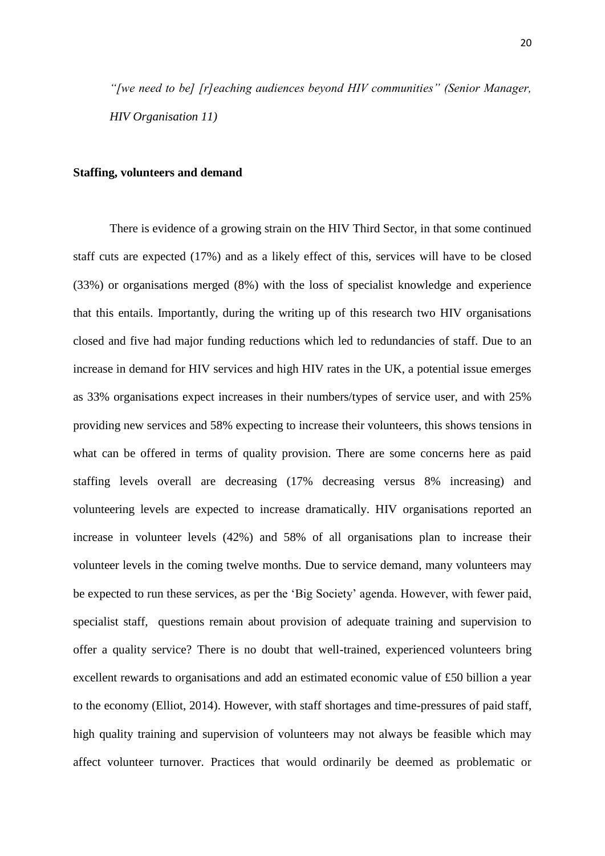*"[we need to be] [r]eaching audiences beyond HIV communities" (Senior Manager, HIV Organisation 11)*

## **Staffing, volunteers and demand**

There is evidence of a growing strain on the HIV Third Sector, in that some continued staff cuts are expected (17%) and as a likely effect of this, services will have to be closed (33%) or organisations merged (8%) with the loss of specialist knowledge and experience that this entails. Importantly, during the writing up of this research two HIV organisations closed and five had major funding reductions which led to redundancies of staff. Due to an increase in demand for HIV services and high HIV rates in the UK, a potential issue emerges as 33% organisations expect increases in their numbers/types of service user, and with 25% providing new services and 58% expecting to increase their volunteers, this shows tensions in what can be offered in terms of quality provision. There are some concerns here as paid staffing levels overall are decreasing (17% decreasing versus 8% increasing) and volunteering levels are expected to increase dramatically. HIV organisations reported an increase in volunteer levels (42%) and 58% of all organisations plan to increase their volunteer levels in the coming twelve months. Due to service demand, many volunteers may be expected to run these services, as per the 'Big Society' agenda. However, with fewer paid, specialist staff, questions remain about provision of adequate training and supervision to offer a quality service? There is no doubt that well-trained, experienced volunteers bring excellent rewards to organisations and add an estimated economic value of £50 billion a year to the economy (Elliot, 2014). However, with staff shortages and time-pressures of paid staff, high quality training and supervision of volunteers may not always be feasible which may affect volunteer turnover. Practices that would ordinarily be deemed as problematic or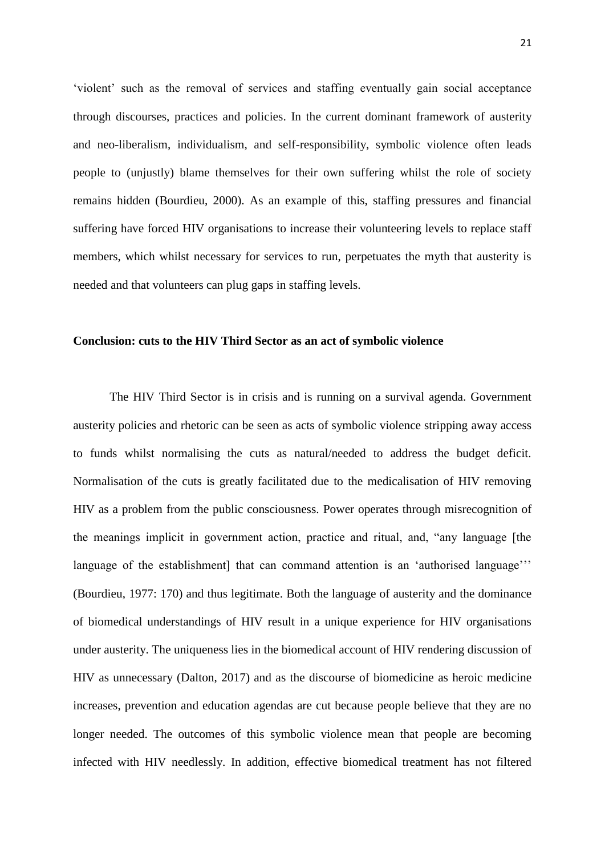'violent' such as the removal of services and staffing eventually gain social acceptance through discourses, practices and policies. In the current dominant framework of austerity and neo-liberalism, individualism, and self-responsibility, symbolic violence often leads people to (unjustly) blame themselves for their own suffering whilst the role of society remains hidden (Bourdieu, 2000). As an example of this, staffing pressures and financial suffering have forced HIV organisations to increase their volunteering levels to replace staff members, which whilst necessary for services to run, perpetuates the myth that austerity is needed and that volunteers can plug gaps in staffing levels.

#### **Conclusion: cuts to the HIV Third Sector as an act of symbolic violence**

The HIV Third Sector is in crisis and is running on a survival agenda. Government austerity policies and rhetoric can be seen as acts of symbolic violence stripping away access to funds whilst normalising the cuts as natural/needed to address the budget deficit. Normalisation of the cuts is greatly facilitated due to the medicalisation of HIV removing HIV as a problem from the public consciousness. Power operates through misrecognition of the meanings implicit in government action, practice and ritual, and, "any language [the language of the establishment] that can command attention is an 'authorised language''' (Bourdieu, 1977: 170) and thus legitimate. Both the language of austerity and the dominance of biomedical understandings of HIV result in a unique experience for HIV organisations under austerity. The uniqueness lies in the biomedical account of HIV rendering discussion of HIV as unnecessary (Dalton, 2017) and as the discourse of biomedicine as heroic medicine increases, prevention and education agendas are cut because people believe that they are no longer needed. The outcomes of this symbolic violence mean that people are becoming infected with HIV needlessly. In addition, effective biomedical treatment has not filtered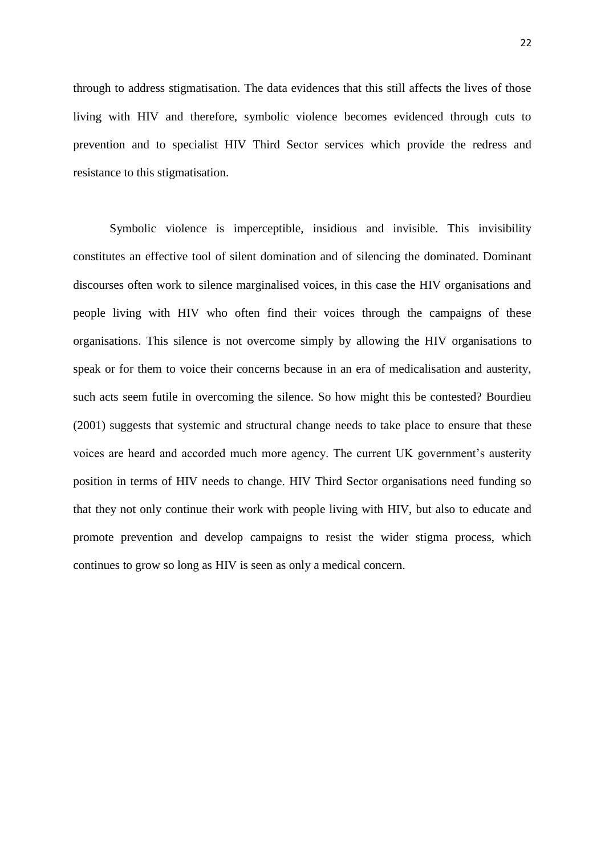through to address stigmatisation. The data evidences that this still affects the lives of those living with HIV and therefore, symbolic violence becomes evidenced through cuts to prevention and to specialist HIV Third Sector services which provide the redress and resistance to this stigmatisation.

Symbolic violence is imperceptible, insidious and invisible. This invisibility constitutes an effective tool of silent domination and of silencing the dominated. Dominant discourses often work to silence marginalised voices, in this case the HIV organisations and people living with HIV who often find their voices through the campaigns of these organisations. This silence is not overcome simply by allowing the HIV organisations to speak or for them to voice their concerns because in an era of medicalisation and austerity, such acts seem futile in overcoming the silence. So how might this be contested? Bourdieu (2001) suggests that systemic and structural change needs to take place to ensure that these voices are heard and accorded much more agency. The current UK government's austerity position in terms of HIV needs to change. HIV Third Sector organisations need funding so that they not only continue their work with people living with HIV, but also to educate and promote prevention and develop campaigns to resist the wider stigma process, which continues to grow so long as HIV is seen as only a medical concern.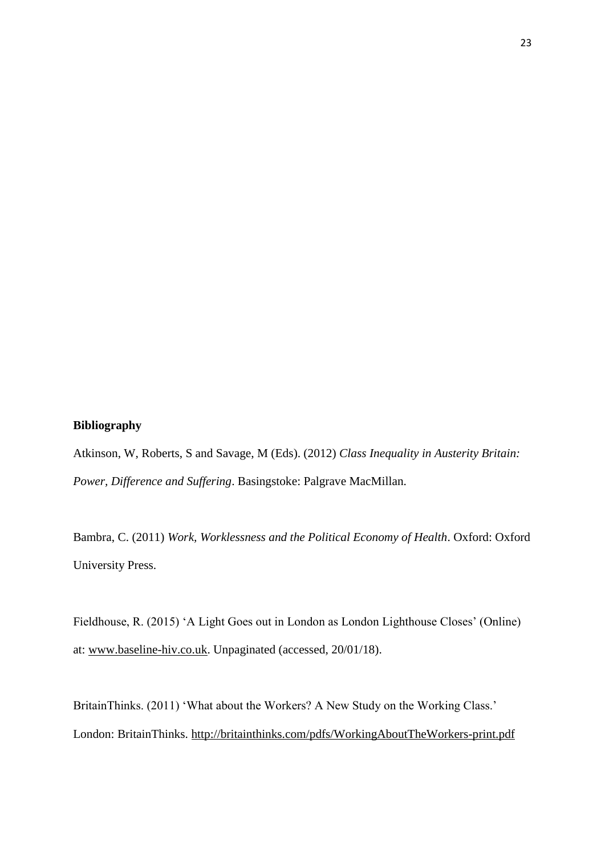#### **Bibliography**

Atkinson, W, Roberts, S and Savage, M (Eds). (2012) *Class Inequality in Austerity Britain: Power, Difference and Suffering*. Basingstoke: Palgrave MacMillan.

Bambra, C. (2011) *Work, Worklessness and the Political Economy of Health*. Oxford: Oxford University Press.

Fieldhouse, R. (2015) 'A Light Goes out in London as London Lighthouse Closes' (Online) at: [www.baseline-hiv.co.uk.](http://www.baseline-hiv.co.uk/) Unpaginated (accessed, 20/01/18).

BritainThinks. (2011) 'What about the Workers? A New Study on the Working Class.' London: BritainThinks.<http://britainthinks.com/pdfs/WorkingAboutTheWorkers-print.pdf>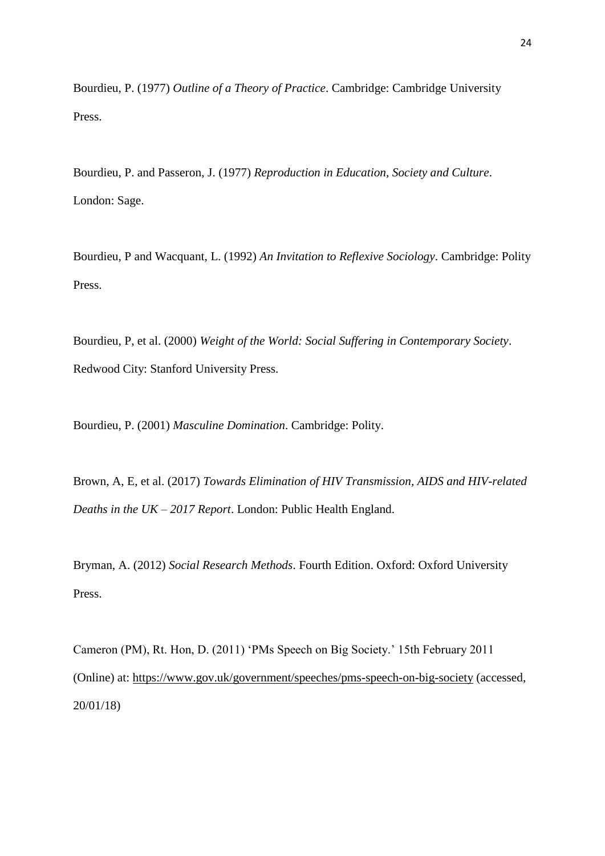Bourdieu, P. (1977) *Outline of a Theory of Practice*. Cambridge: Cambridge University Press.

Bourdieu, P. and Passeron, J. (1977) *Reproduction in Education, Society and Culture*. London: Sage.

Bourdieu, P and Wacquant, L. (1992) *An Invitation to Reflexive Sociology*. Cambridge: Polity Press.

Bourdieu, P, et al. (2000) *Weight of the World: Social Suffering in Contemporary Society*. Redwood City: Stanford University Press.

Bourdieu, P. (2001) *Masculine Domination*. Cambridge: Polity.

Brown, A, E, et al. (2017) *Towards Elimination of HIV Transmission, AIDS and HIV-related Deaths in the UK – 2017 Report*. London: Public Health England.

Bryman, A. (2012) *Social Research Methods*. Fourth Edition. Oxford: Oxford University Press.

Cameron (PM), Rt. Hon, D. (2011) 'PMs Speech on Big Society.' 15th February 2011 (Online) at:<https://www.gov.uk/government/speeches/pms-speech-on-big-society> (accessed, 20/01/18)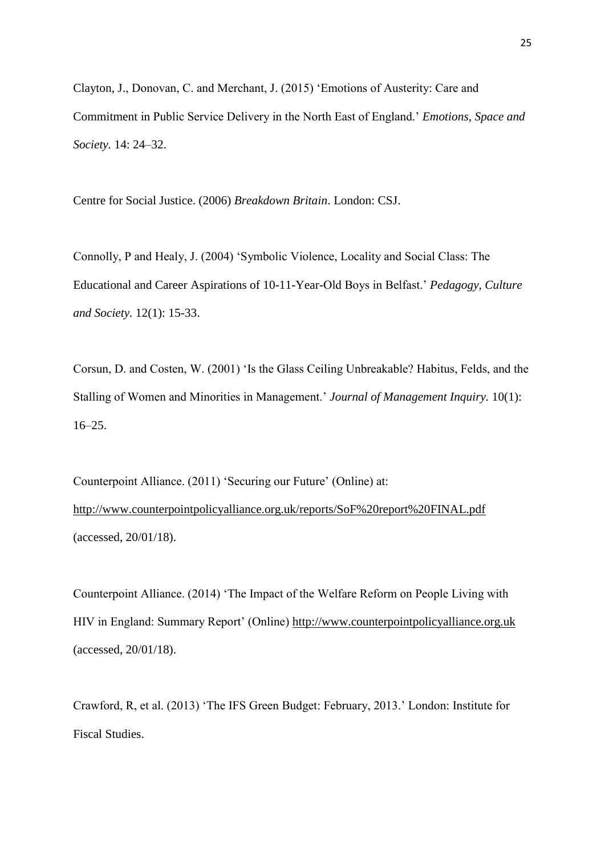Clayton, J., Donovan, C. and Merchant, J. (2015) 'Emotions of Austerity: Care and Commitment in Public Service Delivery in the North East of England.' *Emotions, Space and Society.* 14: 24–32.

Centre for Social Justice. (2006) *Breakdown Britain*. London: CSJ.

Connolly, P and Healy, J. (2004) 'Symbolic Violence, Locality and Social Class: The Educational and Career Aspirations of 10-11-Year-Old Boys in Belfast.' *Pedagogy, Culture and Society.* 12(1): 15-33.

Corsun, D. and Costen, W. (2001) 'Is the Glass Ceiling Unbreakable? Habitus, Felds, and the Stalling of Women and Minorities in Management.' *Journal of Management Inquiry.* 10(1): 16–25.

Counterpoint Alliance. (2011) 'Securing our Future' (Online) at: <http://www.counterpointpolicyalliance.org.uk/reports/SoF%20report%20FINAL.pdf> (accessed, 20/01/18).

Counterpoint Alliance. (2014) 'The Impact of the Welfare Reform on People Living with HIV in England: Summary Report' (Online) [http://www.counterpointpolicyalliance.org.uk](http://www.counterpointpolicyalliance.org.uk/)  (accessed, 20/01/18).

Crawford, R, et al. (2013) 'The IFS Green Budget: February, 2013.' London: Institute for Fiscal Studies.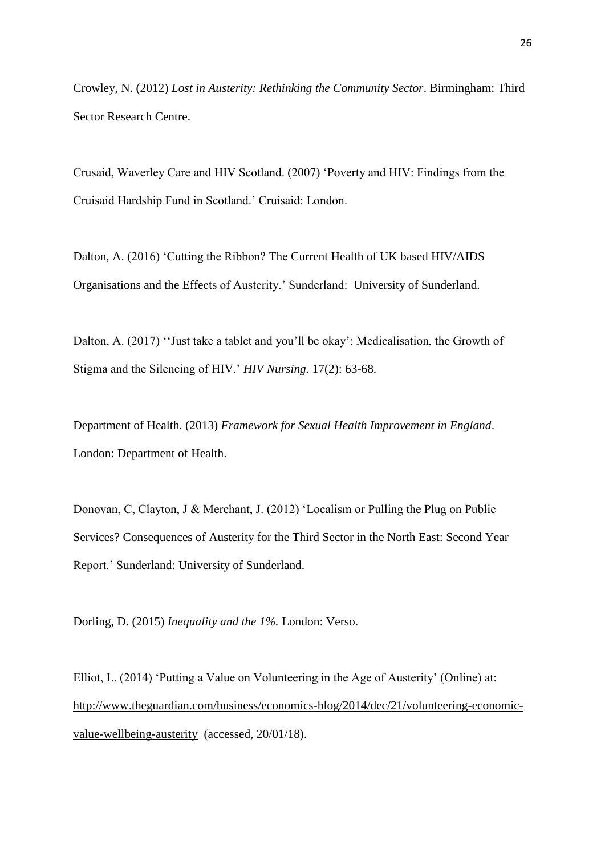Crowley, N. (2012) *Lost in Austerity: Rethinking the Community Sector*. Birmingham: Third Sector Research Centre.

Crusaid, Waverley Care and HIV Scotland. (2007) 'Poverty and HIV: Findings from the Cruisaid Hardship Fund in Scotland.' Cruisaid: London.

Dalton, A. (2016) 'Cutting the Ribbon? The Current Health of UK based HIV/AIDS Organisations and the Effects of Austerity.' Sunderland: University of Sunderland.

Dalton, A. (2017) ''Just take a tablet and you'll be okay': Medicalisation, the Growth of Stigma and the Silencing of HIV.' *HIV Nursing.* 17(2): 63-68.

Department of Health. (2013) *Framework for Sexual Health Improvement in England*. London: Department of Health.

Donovan, C, Clayton, J & Merchant, J. (2012) 'Localism or Pulling the Plug on Public Services? Consequences of Austerity for the Third Sector in the North East: Second Year Report.' Sunderland: University of Sunderland.

Dorling, D. (2015) *Inequality and the 1%.* London: Verso.

Elliot, L. (2014) 'Putting a Value on Volunteering in the Age of Austerity' (Online) at: [http://www.theguardian.com/business/economics-blog/2014/dec/21/volunteering-economic](http://www.theguardian.com/business/economics-blog/2014/dec/21/volunteering-economic-value-wellbeing-austerity)[value-wellbeing-austerity](http://www.theguardian.com/business/economics-blog/2014/dec/21/volunteering-economic-value-wellbeing-austerity) (accessed, 20/01/18).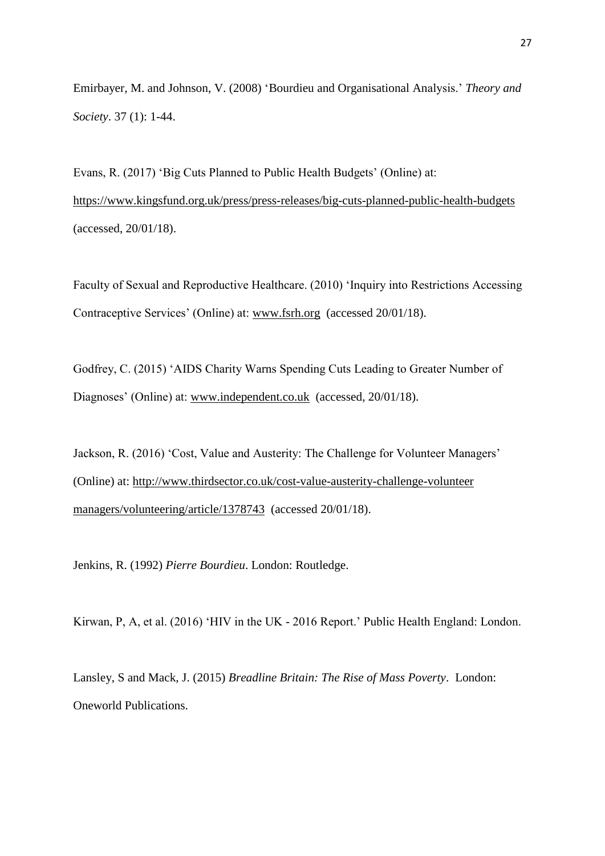Emirbayer, M. and Johnson, V. (2008) 'Bourdieu and Organisational Analysis.' *Theory and Society*. 37 (1): 1-44.

Evans, R. (2017) 'Big Cuts Planned to Public Health Budgets' (Online) at: <https://www.kingsfund.org.uk/press/press-releases/big-cuts-planned-public-health-budgets> (accessed, 20/01/18).

Faculty of Sexual and Reproductive Healthcare. (2010) 'Inquiry into Restrictions Accessing Contraceptive Services' (Online) at: [www.fsrh.org](http://www.fsrh.org/) (accessed 20/01/18).

Godfrey, C. (2015) 'AIDS Charity Warns Spending Cuts Leading to Greater Number of Diagnoses' (Online) at: [www.independent.co.uk](http://www.independent.co.uk/) (accessed, 20/01/18).

Jackson, R. (2016) 'Cost, Value and Austerity: The Challenge for Volunteer Managers' (Online) at: [http://www.thirdsector.co.uk/cost-value-austerity-challenge-volunteer](http://www.thirdsector.co.uk/cost-value-austerity-challenge-volunteer%20managers/volunteering/article/1378743)  [managers/volunteering/article/1378743](http://www.thirdsector.co.uk/cost-value-austerity-challenge-volunteer%20managers/volunteering/article/1378743) (accessed 20/01/18).

Jenkins, R. (1992) *Pierre Bourdieu*. London: Routledge.

Kirwan, P, A, et al. (2016) 'HIV in the UK - 2016 Report.' Public Health England: London.

Lansley, S and Mack, J. (2015) *Breadline Britain: The Rise of Mass Poverty*. London: Oneworld Publications.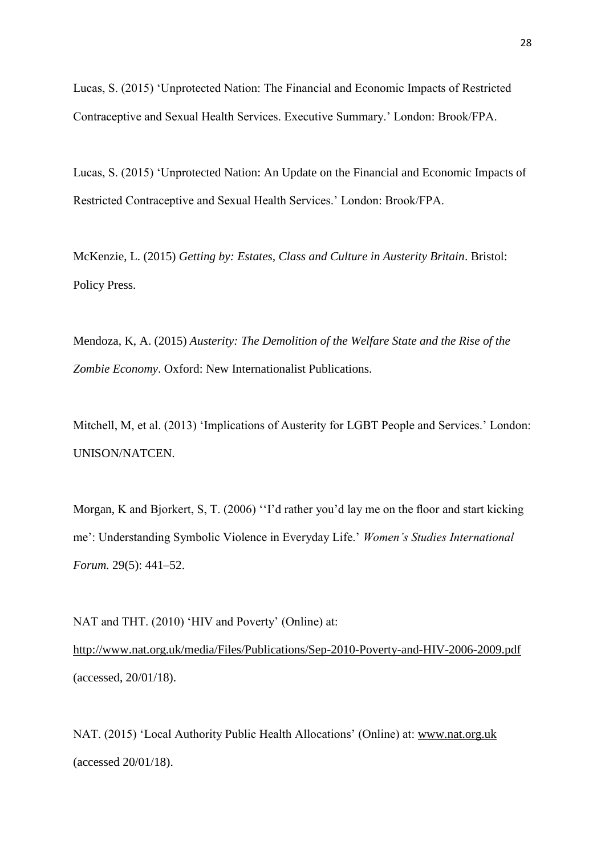Lucas, S. (2015) 'Unprotected Nation: The Financial and Economic Impacts of Restricted Contraceptive and Sexual Health Services. Executive Summary.' London: Brook/FPA.

Lucas, S. (2015) 'Unprotected Nation: An Update on the Financial and Economic Impacts of Restricted Contraceptive and Sexual Health Services.' London: Brook/FPA.

McKenzie, L. (2015) *Getting by: Estates, Class and Culture in Austerity Britain*. Bristol: Policy Press.

Mendoza, K, A. (2015) *Austerity: The Demolition of the Welfare State and the Rise of the Zombie Economy*. Oxford: New Internationalist Publications.

Mitchell, M, et al. (2013) 'Implications of Austerity for LGBT People and Services.' London: UNISON/NATCEN.

Morgan, K and Bjorkert, S, T. (2006) ''I'd rather you'd lay me on the floor and start kicking me': Understanding Symbolic Violence in Everyday Life.' *Women's Studies International Forum.* 29(5): 441–52.

NAT and THT. (2010) 'HIV and Poverty' (Online) at:

<http://www.nat.org.uk/media/Files/Publications/Sep-2010-Poverty-and-HIV-2006-2009.pdf> (accessed, 20/01/18).

NAT. (2015) 'Local Authority Public Health Allocations' (Online) at: [www.nat.org.uk](http://www.nat.org.uk/)  (accessed 20/01/18).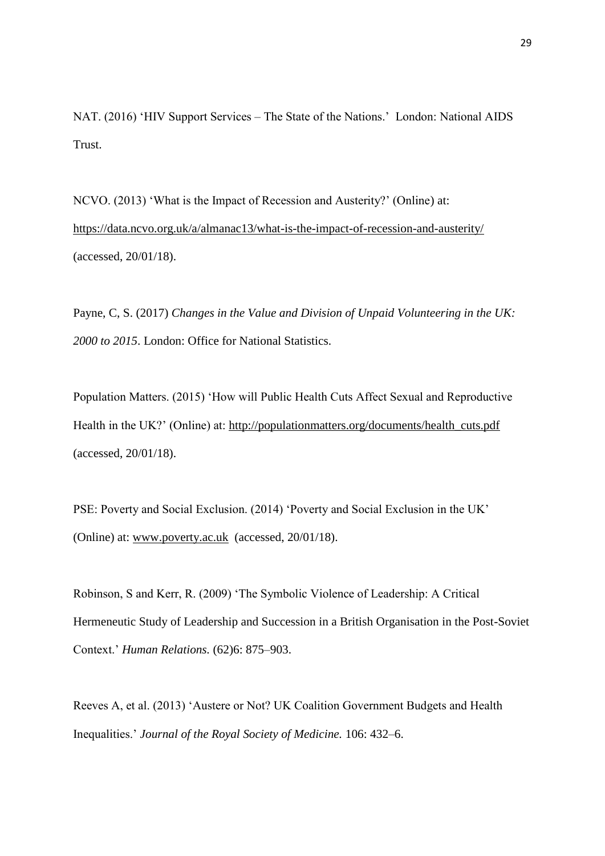NAT. (2016) 'HIV Support Services – The State of the Nations.' London: National AIDS Trust.

NCVO. (2013) 'What is the Impact of Recession and Austerity?' (Online) at: <https://data.ncvo.org.uk/a/almanac13/what-is-the-impact-of-recession-and-austerity/> (accessed, 20/01/18).

Payne, C, S. (2017) *Changes in the Value and Division of Unpaid Volunteering in the UK: 2000 to 2015*. London: Office for National Statistics.

Population Matters. (2015) 'How will Public Health Cuts Affect Sexual and Reproductive Health in the UK?' (Online) at: [http://populationmatters.org/documents/health\\_cuts.pdf](http://populationmatters.org/documents/health_cuts.pdf)  (accessed, 20/01/18).

PSE: Poverty and Social Exclusion. (2014) 'Poverty and Social Exclusion in the UK' (Online) at: [www.poverty.ac.uk](http://www.poverty.ac.uk/) (accessed, 20/01/18).

Robinson, S and Kerr, R. (2009) 'The Symbolic Violence of Leadership: A Critical Hermeneutic Study of Leadership and Succession in a British Organisation in the Post-Soviet Context.' *Human Relations.* (62)6: 875–903.

Reeves A, et al. (2013) 'Austere or Not? UK Coalition Government Budgets and Health Inequalities.' *Journal of the Royal Society of Medicine.* 106: 432–6.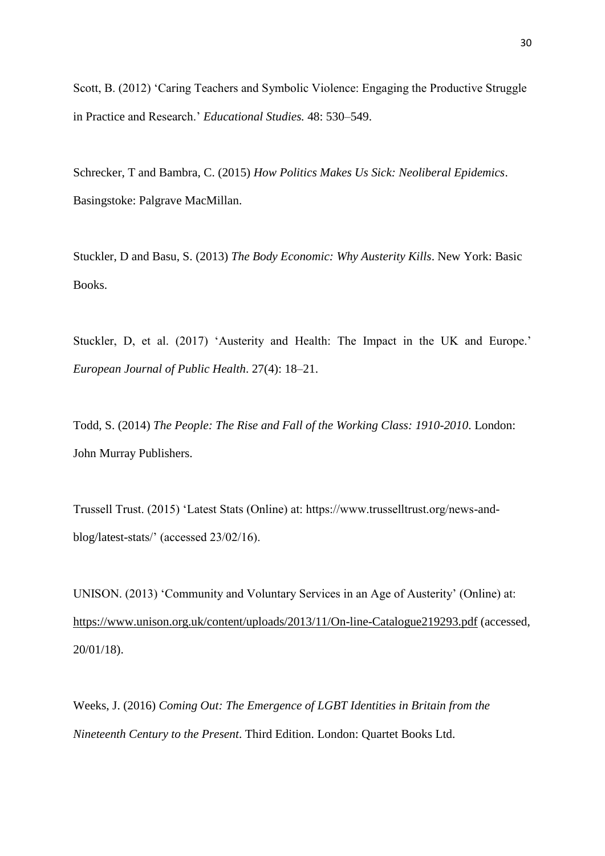Scott, B. (2012) 'Caring Teachers and Symbolic Violence: Engaging the Productive Struggle in Practice and Research.' *Educational Studies.* 48: 530–549.

Schrecker, T and Bambra, C. (2015) *How Politics Makes Us Sick: Neoliberal Epidemics*. Basingstoke: Palgrave MacMillan.

Stuckler, D and Basu, S. (2013) *The Body Economic: Why Austerity Kills*. New York: Basic Books.

Stuckler, D, et al. (2017) 'Austerity and Health: The Impact in the UK and Europe.' *European Journal of Public Health*. 27(4): 18–21.

Todd, S. (2014) *The People: The Rise and Fall of the Working Class: 1910-2010*. London: John Murray Publishers.

Trussell Trust. (2015) 'Latest Stats (Online) at: https://www.trusselltrust.org/news-andblog/latest-stats/' (accessed 23/02/16).

UNISON. (2013) 'Community and Voluntary Services in an Age of Austerity' (Online) at: <https://www.unison.org.uk/content/uploads/2013/11/On-line-Catalogue219293.pdf> (accessed, 20/01/18).

Weeks, J. (2016) *Coming Out: The Emergence of LGBT Identities in Britain from the Nineteenth Century to the Present*. Third Edition. London: Quartet Books Ltd.